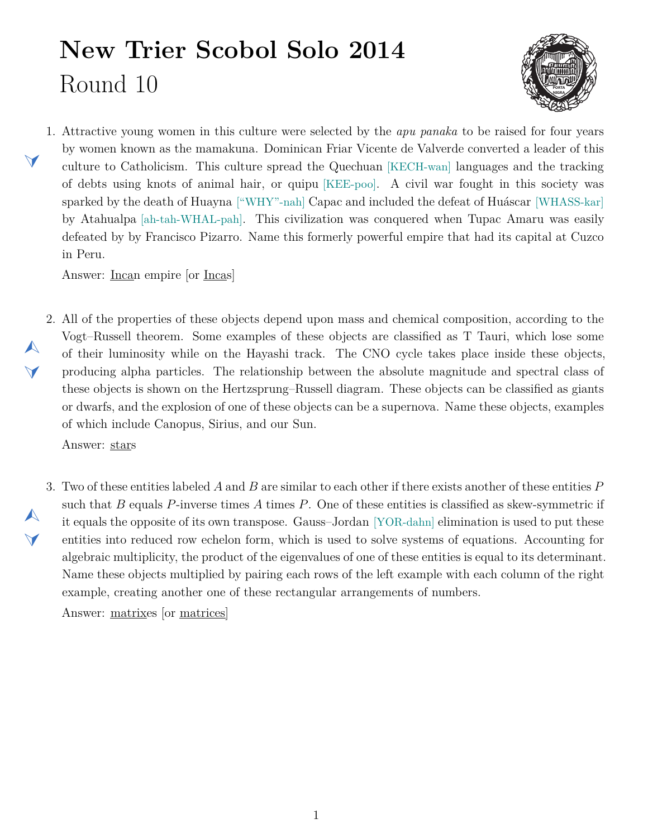## **New Trier Scobol Solo 2014** Round 10



<span id="page-0-1"></span>1. Attractive young women in this culture were selected by the *apu panaka* to be raised for four years by women known as the mamakuna. Dominican Friar Vicente de Valverde converted a leader of this culture to Catholicism. This culture spread the Quechuan [KECH-wan] languages and the tracking of debts using knots of animal hair, or quipu [KEE-poo]. A civil war fought in this society was sparked by the death of Huayna ["WHY"-nah] Capac and included the defeat of Huáscar [WHASS-kar] by Atahualpa [ah-tah-WHAL-pah]. This civilization was conquered when Tupac Amaru was easily defeated by by Francisco Pizarro. Name this formerly powerful empire that had its capital at Cuzco in Peru.

Answer: Incan empire [or Incas]

<span id="page-0-0"></span>2. All of the properties of these objects depend upon mass and chemical composition, according to the Vogt–Russell theorem. Some examples of these objects are classified as T Tauri, which lose some of their luminosity while on the Hayashi track. The CNO cycle takes place inside these objects, producing alpha particles. The relationship between the absolute magnitude and spectral class of these objects is shown on the Hertzsprung–Russell diagram. These objects can be classified as giants or dwarfs, and the explosion of one of these objects can be a supernova. Name these objects, examples of which include Canopus, Sirius, and our Sun.

Answer: stars

 $\blacktriangleleft$ 

 $\blacktriangle$ 

 $\blacktriangleleft$ 

 $\blacktriangle$ 

 $\blacktriangledown$ 

<span id="page-0-2"></span>3. Two of these entities labeled *A* and *B* are similar to each other if there exists another of these entities *P* such that *B* equals *P*-inverse times *A* times *P*. One of these entities is classified as skew-symmetric if it equals the opposite of its own transpose. Gauss–Jordan [YOR-dahn] elimination is used to put these entities into reduced row echelon form, which is used to solve systems of equations. Accounting for algebraic multiplicity, the product of the eigenvalues of one of these entities is equal to its determinant. Name these objects multiplied by pairing each rows of the left example with each column of the right example, creating another one of these rectangular arrangements of numbers.

Answer: matrixes [or matrices]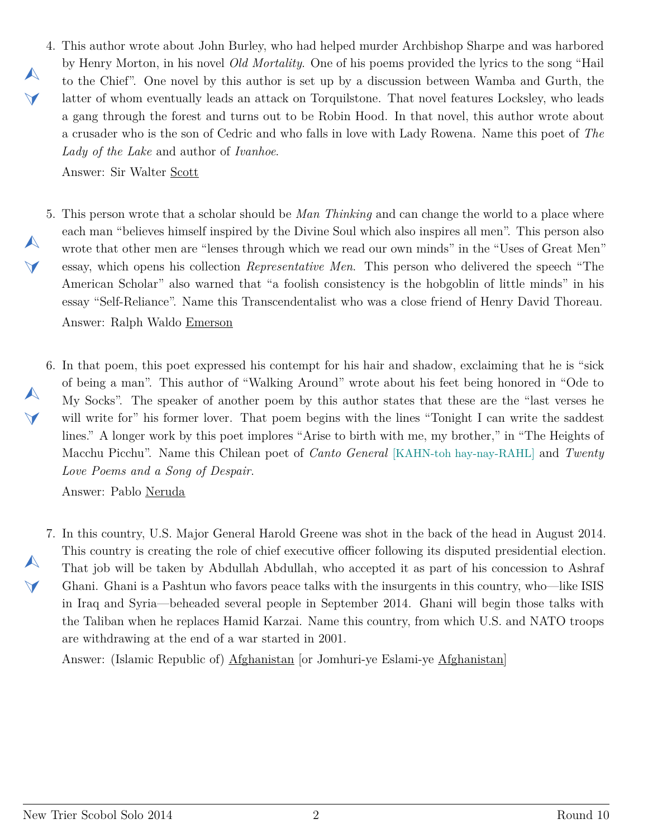<span id="page-1-0"></span>4. This author wrote about John Burley, who had helped murder Archbishop Sharpe and was harbored by Henry Morton, in his novel *Old Mortality*. One of his poems provided the lyrics to the song "Hail to the Chief". One novel by this author is set up by a discussion between Wamba and Gurth, the latter of whom eventually leads an attack on Torquilstone. That novel features Locksley, who leads a gang through the forest and turns out to be Robin Hood. In that novel, this author wrote about a crusader who is the son of Cedric and who falls in love with Lady Rowena. Name this poet of *The Lady of the Lake* and author of *Ivanhoe*.

Answer: Sir Walter Scott

 $\blacktriangle$ 

 $\vee$ 

 $\blacktriangle$ 

 $\blacktriangleleft$ 

 $\blacktriangle$ 

 $\blacktriangledown$ 

 $\blacktriangle$ 

 $\blacktriangleleft$ 

- <span id="page-1-1"></span>5. This person wrote that a scholar should be *Man Thinking* and can change the world to a place where each man "believes himself inspired by the Divine Soul which also inspires all men". This person also wrote that other men are "lenses through which we read our own minds" in the "Uses of Great Men" essay, which opens his collection *Representative Men*. This person who delivered the speech "The American Scholar" also warned that "a foolish consistency is the hobgoblin of little minds" in his essay "Self-Reliance". Name this Transcendentalist who was a close friend of Henry David Thoreau. Answer: Ralph Waldo Emerson
- <span id="page-1-2"></span>6. In that poem, this poet expressed his contempt for his hair and shadow, exclaiming that he is "sick of being a man". This author of "Walking Around" wrote about his feet being honored in "Ode to My Socks". The speaker of another poem by this author states that these are the "last verses he will write for" his former lover. That poem begins with the lines "Tonight I can write the saddest lines." A longer work by this poet implores "Arise to birth with me, my brother," in "The Heights of Macchu Picchu". Name this Chilean poet of *Canto General* [KAHN-toh hay-nay-RAHL] and *Twenty Love Poems and a Song of Despair*.

Answer: Pablo Neruda

<span id="page-1-3"></span>7. In this country, U.S. Major General Harold Greene was shot in the back of the head in August 2014. This country is creating the role of chief executive officer following its disputed presidential election. That job will be taken by Abdullah Abdullah, who accepted it as part of his concession to Ashraf Ghani. Ghani is a Pashtun who favors peace talks with the insurgents in this country, who—like ISIS in Iraq and Syria—beheaded several people in September 2014. Ghani will begin those talks with the Taliban when he replaces Hamid Karzai. Name this country, from which U.S. and NATO troops are withdrawing at the end of a war started in 2001.

Answer: (Islamic Republic of) Afghanistan [or Jomhuri-ye Eslami-ye Afghanistan]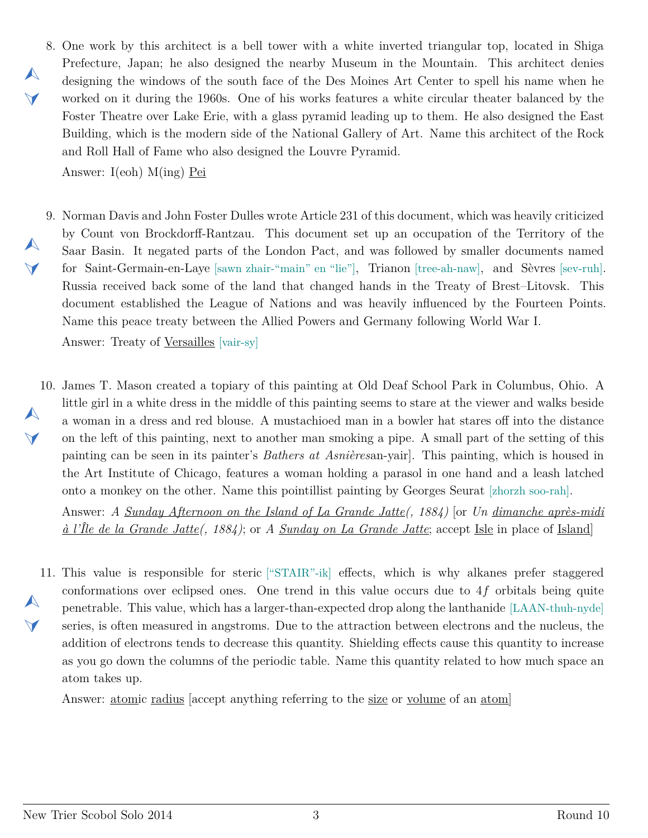<span id="page-2-0"></span>8. One work by this architect is a bell tower with a white inverted triangular top, located in Shiga Prefecture, Japan; he also designed the nearby Museum in the Mountain. This architect denies designing the windows of the south face of the Des Moines Art Center to spell his name when he worked on it during the 1960s. One of his works features a white circular theater balanced by the Foster Theatre over Lake Erie, with a glass pyramid leading up to them. He also designed the East Building, which is the modern side of the National Gallery of Art. Name this architect of the Rock and Roll Hall of Fame who also designed the Louvre Pyramid.

Answer: I(eoh) M(ing) Pei

 $\blacktriangle$ 

 $\blacktriangleleft$ 

 $\blacktriangle$ 

 $\vee$ 

 $\blacktriangle$ 

<span id="page-2-1"></span>9. Norman Davis and John Foster Dulles wrote Article 231 of this document, which was heavily criticized by Count von Brockdorff-Rantzau. This document set up an occupation of the Territory of the Saar Basin. It negated parts of the London Pact, and was followed by smaller documents named for Saint-Germain-en-Laye [sawn zhair-"main" en "lie"], Trianon [tree-ah-naw], and Sèvres [sev-ruh]. Russia received back some of the land that changed hands in the Treaty of Brest–Litovsk. This document established the League of Nations and was heavily influenced by the Fourteen Points. Name this peace treaty between the Allied Powers and Germany following World War I.

Answer: Treaty of Versailles [vair-sy]

<span id="page-2-2"></span>10. James T. Mason created a topiary of this painting at Old Deaf School Park in Columbus, Ohio. A  $\blacktriangle$ little girl in a white dress in the middle of this painting seems to stare at the viewer and walks beside a woman in a dress and red blouse. A mustachioed man in a bowler hat stares off into the distance on the left of this painting, next to another man smoking a pipe. A small part of the setting of this painting can be seen in its painter's *Bathers at Asnières*an-yair]. This painting, which is housed in the Art Institute of Chicago, features a woman holding a parasol in one hand and a leash latched onto a monkey on the other. Name this pointillist painting by Georges Seurat [zhorzh soo-rah].

Answer: *A Sunday Afternoon on the Island of La Grande Jatte(, 1884)* [or *Un dimanche après-midi à l'Île de la Grande Jatte(, 1884)*; or *A Sunday on La Grande Jatte*; accept Isle in place of Island]

<span id="page-2-3"></span>11. This value is responsible for steric ["STAIR"-ik] effects, which is why alkanes prefer staggered  $\blacktriangle$  $\blacktriangledown$ conformations over eclipsed ones. One trend in this value occurs due to 4*f* orbitals being quite penetrable. This value, which has a larger-than-expected drop along the lanthanide [LAAN-thuh-nyde] series, is often measured in angstroms. Due to the attraction between electrons and the nucleus, the addition of electrons tends to decrease this quantity. Shielding effects cause this quantity to increase as you go down the columns of the periodic table. Name this quantity related to how much space an atom takes up.

Answer: atomic radius [accept anything referring to the size or volume of an atom]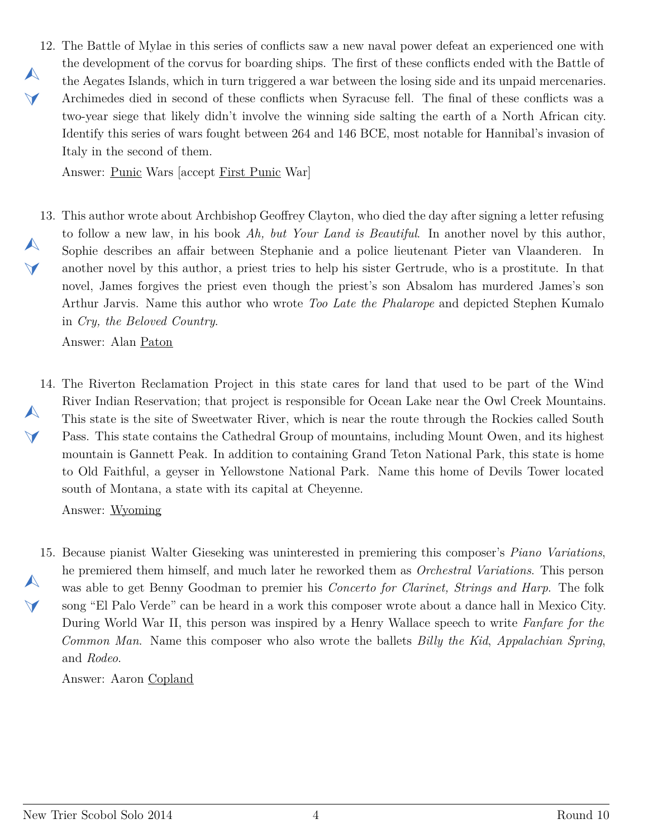<span id="page-3-0"></span>12. The Battle of Mylae in this series of conflicts saw a new naval power defeat an experienced one with  $\blacktriangle$  $\vee$ the development of the corvus for boarding ships. The first of these conflicts ended with the Battle of the Aegates Islands, which in turn triggered a war between the losing side and its unpaid mercenaries. Archimedes died in second of these conflicts when Syracuse fell. The final of these conflicts was a two-year siege that likely didn't involve the winning side salting the earth of a North African city. Identify this series of wars fought between 264 and 146 BCE, most notable for Hannibal's invasion of Italy in the second of them.

Answer: Punic Wars [accept First Punic War]

<span id="page-3-1"></span>13. This author wrote about Archbishop Geoffrey Clayton, who died the day after signing a letter refusing  $\blacktriangle$  $\blacktriangleleft$ to follow a new law, in his book *Ah, but Your Land is Beautiful*. In another novel by this author, Sophie describes an affair between Stephanie and a police lieutenant Pieter van Vlaanderen. In another novel by this author, a priest tries to help his sister Gertrude, who is a prostitute. In that novel, James forgives the priest even though the priest's son Absalom has murdered James's son Arthur Jarvis. Name this author who wrote *Too Late the Phalarope* and depicted Stephen Kumalo in *Cry, the Beloved Country*.

Answer: Alan Paton

<span id="page-3-2"></span>14. The Riverton Reclamation Project in this state cares for land that used to be part of the Wind  $\blacktriangle$  $\blacktriangledown$ River Indian Reservation; that project is responsible for Ocean Lake near the Owl Creek Mountains. This state is the site of Sweetwater River, which is near the route through the Rockies called South Pass. This state contains the Cathedral Group of mountains, including Mount Owen, and its highest mountain is Gannett Peak. In addition to containing Grand Teton National Park, this state is home to Old Faithful, a geyser in Yellowstone National Park. Name this home of Devils Tower located south of Montana, a state with its capital at Cheyenne.

Answer: Wyoming

<span id="page-3-3"></span>15. Because pianist Walter Gieseking was uninterested in premiering this composer's *Piano Variations*,  $\blacktriangle$  $\blacktriangledown$ he premiered them himself, and much later he reworked them as *Orchestral Variations*. This person was able to get Benny Goodman to premier his *Concerto for Clarinet, Strings and Harp*. The folk song "El Palo Verde" can be heard in a work this composer wrote about a dance hall in Mexico City. During World War II, this person was inspired by a Henry Wallace speech to write *Fanfare for the Common Man*. Name this composer who also wrote the ballets *Billy the Kid*, *Appalachian Spring*, and *Rodeo*.

Answer: Aaron Copland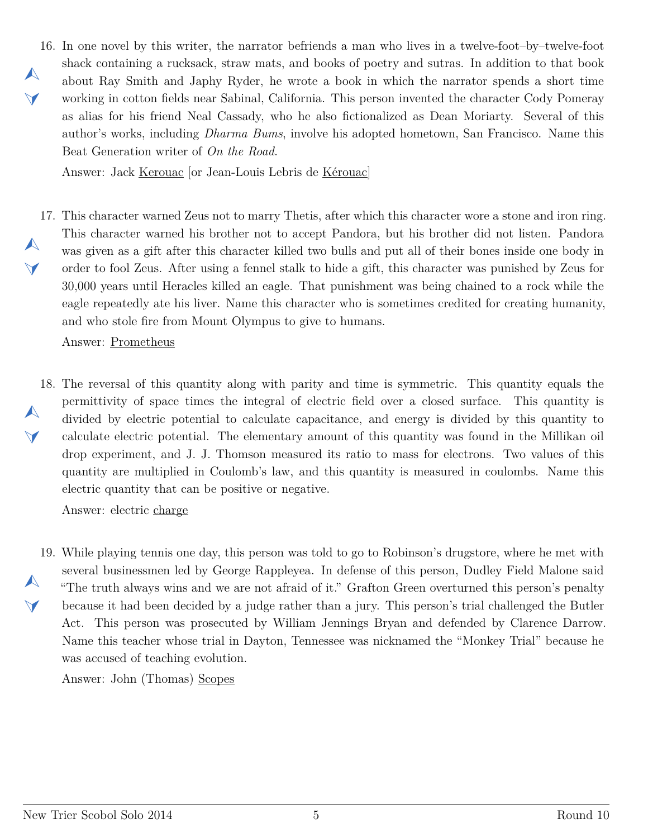<span id="page-4-0"></span>16. In one novel by this writer, the narrator befriends a man who lives in a twelve-foot–by–twelve-foot  $\blacktriangle$  $\vee$ shack containing a rucksack, straw mats, and books of poetry and sutras. In addition to that book about Ray Smith and Japhy Ryder, he wrote a book in which the narrator spends a short time working in cotton fields near Sabinal, California. This person invented the character Cody Pomeray as alias for his friend Neal Cassady, who he also fictionalized as Dean Moriarty. Several of this author's works, including *Dharma Bums*, involve his adopted hometown, San Francisco. Name this Beat Generation writer of *On the Road*.

Answer: Jack Kerouac [or Jean-Louis Lebris de Kérouac]

<span id="page-4-1"></span>17. This character warned Zeus not to marry Thetis, after which this character wore a stone and iron ring.  $\blacktriangle$  $\vee$ This character warned his brother not to accept Pandora, but his brother did not listen. Pandora was given as a gift after this character killed two bulls and put all of their bones inside one body in order to fool Zeus. After using a fennel stalk to hide a gift, this character was punished by Zeus for 30,000 years until Heracles killed an eagle. That punishment was being chained to a rock while the eagle repeatedly ate his liver. Name this character who is sometimes credited for creating humanity, and who stole fire from Mount Olympus to give to humans.

Answer: Prometheus

<span id="page-4-2"></span>18. The reversal of this quantity along with parity and time is symmetric. This quantity equals the  $\blacktriangle$  $\blacktriangledown$ permittivity of space times the integral of electric field over a closed surface. This quantity is divided by electric potential to calculate capacitance, and energy is divided by this quantity to calculate electric potential. The elementary amount of this quantity was found in the Millikan oil drop experiment, and J. J. Thomson measured its ratio to mass for electrons. Two values of this quantity are multiplied in Coulomb's law, and this quantity is measured in coulombs. Name this electric quantity that can be positive or negative.

Answer: electric charge

<span id="page-4-3"></span>19. While playing tennis one day, this person was told to go to Robinson's drugstore, where he met with  $\blacktriangle$  $\blacktriangledown$ several businessmen led by George Rappleyea. In defense of this person, Dudley Field Malone said "The truth always wins and we are not afraid of it." Grafton Green overturned this person's penalty because it had been decided by a judge rather than a jury. This person's trial challenged the Butler Act. This person was prosecuted by William Jennings Bryan and defended by Clarence Darrow. Name this teacher whose trial in Dayton, Tennessee was nicknamed the "Monkey Trial" because he was accused of teaching evolution.

Answer: John (Thomas) Scopes